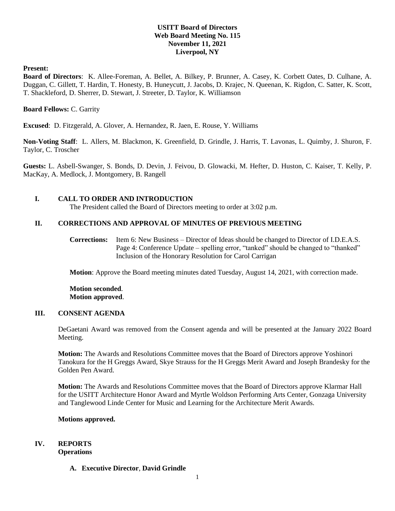# **USITT Board of Directors Web Board Meeting No. 115 November 11, 2021 Liverpool, NY**

#### **Present:**

**Board of Directors**: K. Allee-Foreman, A. Bellet, A. Bilkey, P. Brunner, A. Casey, K. Corbett Oates, D. Culhane, A. Duggan, C. Gillett, T. Hardin, T. Honesty, B. Huneycutt, J. Jacobs, D. Krajec, N. Queenan, K. Rigdon, C. Satter, K. Scott, T. Shackleford, D. Sherrer, D. Stewart, J. Streeter, D. Taylor, K. Williamson

#### **Board Fellows:** C. Garrity

**Excused**: D. Fitzgerald, A. Glover, A. Hernandez, R. Jaen, E. Rouse, Y. Williams

**Non-Voting Staff**: L. Allers, M. Blackmon, K. Greenfield, D. Grindle, J. Harris, T. Lavonas, L. Quimby, J. Shuron, F. Taylor, C. Troscher

**Guests:** L. Asbell-Swanger, S. Bonds, D. Devin, J. Feivou, D. Glowacki, M. Hefter, D. Huston, C. Kaiser, T. Kelly, P. MacKay, A. Medlock, J. Montgomery, B. Rangell

## **I. CALL TO ORDER AND INTRODUCTION**

The President called the Board of Directors meeting to order at 3:02 p.m.

## **II. CORRECTIONS AND APPROVAL OF MINUTES OF PREVIOUS MEETING**

**Corrections:** Item 6: New Business – Director of Ideas should be changed to Director of I.D.E.A.S. Page 4: Conference Update – spelling error, "tanked" should be changed to "thanked" Inclusion of the Honorary Resolution for Carol Carrigan

**Motion**: Approve the Board meeting minutes dated Tuesday, August 14, 2021, with correction made.

**Motion seconded**. **Motion approved**.

# **III. CONSENT AGENDA**

DeGaetani Award was removed from the Consent agenda and will be presented at the January 2022 Board Meeting.

**Motion:** The Awards and Resolutions Committee moves that the Board of Directors approve Yoshinori Tanokura for the H Greggs Award, Skye Strauss for the H Greggs Merit Award and Joseph Brandesky for the Golden Pen Award.

**Motion:** The Awards and Resolutions Committee moves that the Board of Directors approve Klarmar Hall for the USITT Architecture Honor Award and Myrtle Woldson Performing Arts Center, Gonzaga University and Tanglewood Linde Center for Music and Learning for the Architecture Merit Awards.

#### **Motions approved.**

# **IV. REPORTS**

**Operations**

**A. Executive Director**, **David Grindle**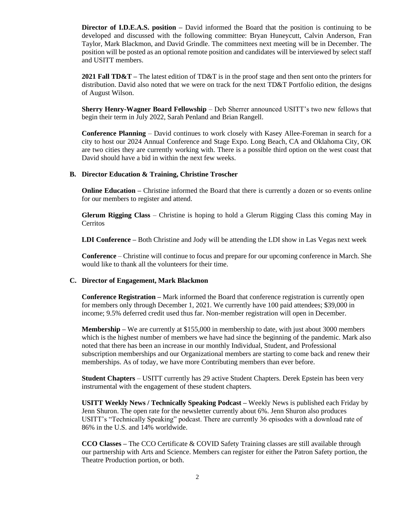**Director of I.D.E.A.S. position** – David informed the Board that the position is continuing to be developed and discussed with the following committee: Bryan Huneycutt, Calvin Anderson, Fran Taylor, Mark Blackmon, and David Grindle. The committees next meeting will be in December. The position will be posted as an optional remote position and candidates will be interviewed by select staff and USITT members.

**2021 Fall TD&T –** The latest edition of TD&T is in the proof stage and then sent onto the printers for distribution. David also noted that we were on track for the next TD&T Portfolio edition, the designs of August Wilson.

**Sherry Henry-Wagner Board Fellowship** – Deb Sherrer announced USITT's two new fellows that begin their term in July 2022, Sarah Penland and Brian Rangell.

**Conference Planning** – David continues to work closely with Kasey Allee-Foreman in search for a city to host our 2024 Annual Conference and Stage Expo. Long Beach, CA and Oklahoma City, OK are two cities they are currently working with. There is a possible third option on the west coast that David should have a bid in within the next few weeks.

#### **B. Director Education & Training, Christine Troscher**

**Online Education** – Christine informed the Board that there is currently a dozen or so events online for our members to register and attend.

**Glerum Rigging Class** – Christine is hoping to hold a Glerum Rigging Class this coming May in **Cerritos** 

**LDI Conference –** Both Christine and Jody will be attending the LDI show in Las Vegas next week

**Conference** – Christine will continue to focus and prepare for our upcoming conference in March. She would like to thank all the volunteers for their time.

#### **C. Director of Engagement, Mark Blackmon**

**Conference Registration –** Mark informed the Board that conference registration is currently open for members only through December 1, 2021. We currently have 100 paid attendees; \$39,000 in income; 9.5% deferred credit used thus far. Non-member registration will open in December.

**Membership –** We are currently at \$155,000 in membership to date, with just about 3000 members which is the highest number of members we have had since the beginning of the pandemic. Mark also noted that there has been an increase in our monthly Individual, Student, and Professional subscription memberships and our Organizational members are starting to come back and renew their memberships. As of today, we have more Contributing members than ever before.

**Student Chapters** – USITT currently has 29 active Student Chapters. Derek Epstein has been very instrumental with the engagement of these student chapters.

**USITT Weekly News / Technically Speaking Podcast –** Weekly News is published each Friday by Jenn Shuron. The open rate for the newsletter currently about 6%. Jenn Shuron also produces USITT's "Technically Speaking" podcast. There are currently 36 episodes with a download rate of 86% in the U.S. and 14% worldwide.

**CCO Classes –** The CCO Certificate & COVID Safety Training classes are still available through our partnership with Arts and Science. Members can register for either the Patron Safety portion, the Theatre Production portion, or both.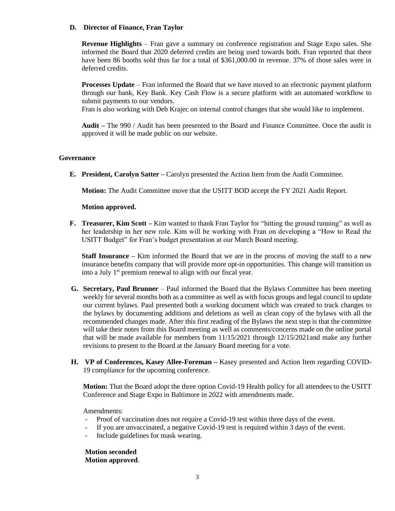#### **D. Director of Finance, Fran Taylor**

**Revenue Highlights** – Fran gave a summary on conference registration and Stage Expo sales. She informed the Board that 2020 deferred credits are being used towards both. Fran reported that there have been 86 booths sold thus far for a total of \$361,000.00 in revenue. 37% of those sales were in deferred credits.

**Processes Update** – Fran informed the Board that we have moved to an electronic payment platform through our bank, Key Bank. Key Cash Flow is a secure platform with an automated workflow to submit payments to our vendors.

Fran is also working with Deb Krajec on internal control changes that she would like to implement.

**Audit –** The 990 / Audit has been presented to the Board and Finance Committee. Once the audit is approved it will be made public on our website.

#### **Governance**

**E. President, Carolyn Satter –** Carolyn presented the Action Item from the Audit Committee.

**Motion:** The Audit Committee move that the USITT BOD accept the FY 2021 Audit Report.

#### **Motion approved.**

**F. Treasurer, Kim Scott –** Kim wanted to thank Fran Taylor for "hitting the ground running" as well as her leadership in her new role. Kim will be working with Fran on developing a "How to Read the USITT Budget" for Fran's budget presentation at our March Board meeting.

**Staff Insurance –** Kim informed the Board that we are in the process of moving the staff to a new insurance benefits company that will provide more opt-in opportunities. This change will transition us into a July 1<sup>st</sup> premium renewal to align with our fiscal year.

- **G. Secretary, Paul Brunner** Paul informed the Board that the Bylaws Committee has been meeting weekly for several months both as a committee as well as with focus groups and legal council to update our current bylaws. Paul presented both a working document which was created to track changes to the bylaws by documenting additions and deletions as well as clean copy of the bylaws with all the recommended changes made. After this first reading of the Bylaws the next step is that the committee will take their notes from this Board meeting as well as comments/concerns made on the online portal that will be made available for members from 11/15/2021 through 12/15/2021and make any further revisions to present to the Board at the January Board meeting for a vote.
- **H. VP of Conferences, Kasey Allee-Foreman –** Kasey presented and Action Item regarding COVID-19 compliance for the upcoming conference.

**Motion:** That the Board adopt the three option Covid-19 Health policy for all attendees to the USITT Conference and Stage Expo in Baltimore in 2022 with amendments made.

Amendments:

- Proof of vaccination does not require a Covid-19 test within three days of the event.
- If you are unvaccinated, a negative Covid-19 test is required within 3 days of the event.
- Include guidelines for mask wearing.

**Motion seconded Motion approved**.